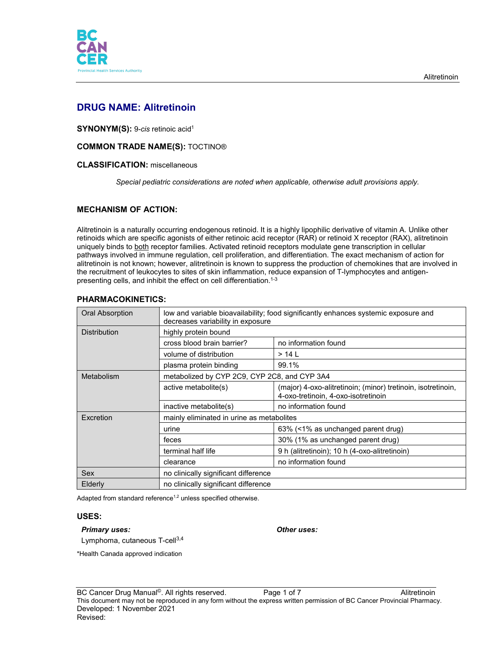

# **DRUG NAME: Alitretinoin**

**SYNONYM(S):** 9-*cis* retinoic acid1

# **COMMON TRADE NAME(S):** TOCTINO®

### **CLASSIFICATION:** miscellaneous

*Special pediatric considerations are noted when applicable, otherwise adult provisions apply.*

# **MECHANISM OF ACTION:**

Alitretinoin is a naturally occurring endogenous retinoid. It is a highly lipophilic derivative of vitamin A. Unlike other retinoids which are specific agonists of either retinoic acid receptor (RAR) or retinoid X receptor (RAX), alitretinoin uniquely binds to both receptor families. Activated retinoid receptors modulate gene transcription in cellular pathways involved in immune regulation, cell proliferation, and differentiation. The exact mechanism of action for alitretinoin is not known; however, alitretinoin is known to suppress the production of chemokines that are involved in the recruitment of leukocytes to sites of skin inflammation, reduce expansion of T-lymphocytes and antigenpresenting cells, and inhibit the effect on cell differentiation. 1-3

| Oral Absorption     | low and variable bioavailability; food significantly enhances systemic exposure and<br>decreases variability in exposure |                                                                                                     |  |
|---------------------|--------------------------------------------------------------------------------------------------------------------------|-----------------------------------------------------------------------------------------------------|--|
| <b>Distribution</b> | highly protein bound                                                                                                     |                                                                                                     |  |
|                     | cross blood brain barrier?                                                                                               | no information found                                                                                |  |
|                     | volume of distribution                                                                                                   | $>14$ L                                                                                             |  |
|                     | plasma protein binding                                                                                                   | 99.1%                                                                                               |  |
| Metabolism          | metabolized by CYP 2C9, CYP 2C8, and CYP 3A4                                                                             |                                                                                                     |  |
|                     | active metabolite(s)                                                                                                     | (major) 4-oxo-alitretinoin; (minor) tretinoin, isotretinoin,<br>4-oxo-tretinoin, 4-oxo-isotretinoin |  |
|                     | inactive metabolite(s)                                                                                                   | no information found                                                                                |  |
| Excretion           | mainly eliminated in urine as metabolites                                                                                |                                                                                                     |  |
|                     | urine                                                                                                                    | 63% (<1% as unchanged parent drug)                                                                  |  |
|                     | feces                                                                                                                    | 30% (1% as unchanged parent drug)                                                                   |  |
|                     | terminal half life                                                                                                       | 9 h (alitretinoin); 10 h (4-oxo-alitretinoin)                                                       |  |
|                     | clearance                                                                                                                | no information found                                                                                |  |
| Sex                 | no clinically significant difference                                                                                     |                                                                                                     |  |
| Elderly             | no clinically significant difference                                                                                     |                                                                                                     |  |

# **PHARMACOKINETICS:**

Adapted from standard reference<sup>1,2</sup> unless specified otherwise.

### **USES:**

#### *Primary uses: Other uses:*

Lymphoma, cutaneous T-cell<sup>3,4</sup>

\*Health Canada approved indication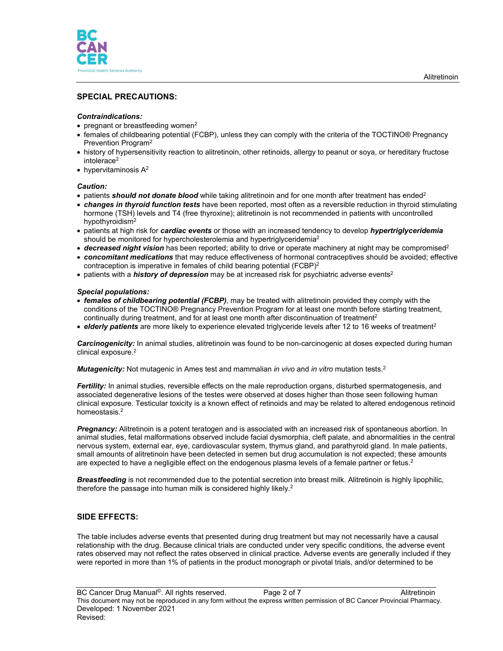

# **SPECIAL PRECAUTIONS:**

### *Contraindications:*

- pregnant or breastfeeding women<sup>2</sup>
- females of childbearing potential (FCBP), unless they can comply with the criteria of the TOCTINO® Pregnancy Prevention Program2
- history of hypersensitivity reaction to alitretinoin, other retinoids, allergy to peanut or soya, or hereditary fructose intolerace<sup>2</sup>
- hypervitaminosis  $A^2$

#### *Caution:*

- patients **should not donate blood** while taking alitretinoin and for one month after treatment has ended<sup>2</sup>
- *changes in thyroid function tests* have been reported, most often as a reversible reduction in thyroid stimulating hormone (TSH) levels and T4 (free thyroxine); alitretinoin is not recommended in patients with uncontrolled hypothyroidism<sup>2</sup>
- patients at high risk for *cardiac events* or those with an increased tendency to develop *hypertriglyceridemia*  should be monitored for hypercholesterolemia and hypertriglyceridemia<sup>2</sup>
- *decreased night vision* has been reported; ability to drive or operate machinery at night may be compromised2
- *concomitant medications* that may reduce effectiveness of hormonal contraceptives should be avoided; effective contraception is imperative in females of child bearing potential (FCBP)<sup>2</sup>
- patients with a *history of depression* may be at increased risk for psychiatric adverse events<sup>2</sup>

#### *Special populations:*

- *females of childbearing potential (FCBP)*, may be treated with alitretinoin provided they comply with the conditions of the TOCTINO® Pregnancy Prevention Program for at least one month before starting treatment, continually during treatment, and for at least one month after discontinuation of treatment<sup>2</sup>
- *elderly patients* are more likely to experience elevated triglyceride levels after 12 to 16 weeks of treatment<sup>2</sup>

*Carcinogenicity:* In animal studies, alitretinoin was found to be non-carcinogenic at doses expected during human clinical exposure.<sup>2</sup>

*Mutagenicity:* Not mutagenic in Ames test and mammalian *in vivo* and *in vitro* mutation tests. 2

*Fertility:* In animal studies, reversible effects on the male reproduction organs, disturbed spermatogenesis, and associated degenerative lesions of the testes were observed at doses higher than those seen following human clinical exposure. Testicular toxicity is a known effect of retinoids and may be related to altered endogenous retinoid homeostasis.2

*Pregnancy:* Alitretinoin is a potent teratogen and is associated with an increased risk of spontaneous abortion. In animal studies, fetal malformations observed include facial dysmorphia, cleft palate, and abnormalities in the central nervous system, external ear, eye, cardiovascular system, thymus gland, and parathyroid gland. In male patients, small amounts of alitretinoin have been detected in semen but drug accumulation is not expected; these amounts are expected to have a negligible effect on the endogenous plasma levels of a female partner or fetus.<sup>2</sup>

*Breastfeeding* is not recommended due to the potential secretion into breast milk. Alitretinoin is highly lipophilic, therefore the passage into human milk is considered highly likely. $^{\rm 2}$ 

### **SIDE EFFECTS:**

The table includes adverse events that presented during drug treatment but may not necessarily have a causal relationship with the drug. Because clinical trials are conducted under very specific conditions, the adverse event rates observed may not reflect the rates observed in clinical practice. Adverse events are generally included if they were reported in more than 1% of patients in the product monograph or pivotal trials, and/or determined to be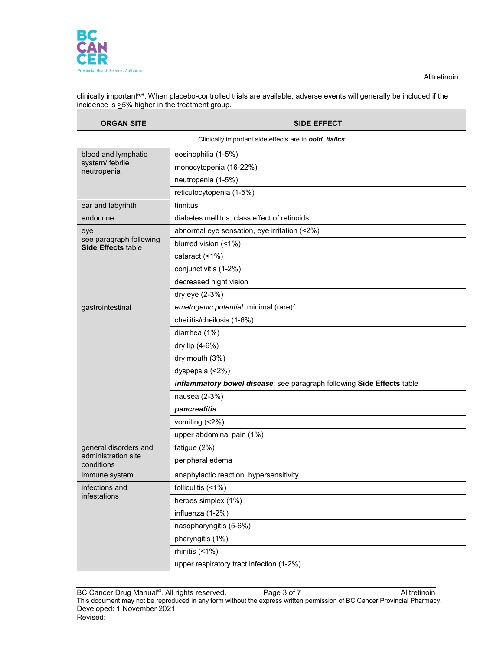

clinically important<sup>5,6</sup>. When placebo-controlled trials are available, adverse events will generally be included if the incidence is  $\geq$ 5% higher in the treatment group.

| <b>ORGAN SITE</b>                                             | <b>SIDE EFFECT</b>                                                     |  |
|---------------------------------------------------------------|------------------------------------------------------------------------|--|
| Clinically important side effects are in <b>bold, italics</b> |                                                                        |  |
| blood and lymphatic                                           | eosinophilia (1-5%)                                                    |  |
| system/ febrile<br>neutropenia                                | monocytopenia (16-22%)                                                 |  |
|                                                               | neutropenia (1-5%)                                                     |  |
|                                                               | reticulocytopenia (1-5%)                                               |  |
| ear and labyrinth                                             | tinnitus                                                               |  |
| endocrine                                                     | diabetes mellitus; class effect of retinoids                           |  |
| eye                                                           | abnormal eye sensation, eye irritation (<2%)                           |  |
| see paragraph following<br><b>Side Effects table</b>          | blurred vision (<1%)                                                   |  |
|                                                               | cataract (<1%)                                                         |  |
|                                                               | conjunctivitis (1-2%)                                                  |  |
|                                                               | decreased night vision                                                 |  |
|                                                               | dry eye (2-3%)                                                         |  |
| gastrointestinal                                              | emetogenic potential: minimal (rare)7                                  |  |
|                                                               | cheilitis/cheilosis (1-6%)                                             |  |
|                                                               | diarrhea (1%)                                                          |  |
|                                                               | dry lip (4-6%)                                                         |  |
|                                                               | dry mouth (3%)                                                         |  |
|                                                               | dyspepsia (<2%)                                                        |  |
|                                                               | inflammatory bowel disease; see paragraph following Side Effects table |  |
|                                                               | nausea (2-3%)                                                          |  |
|                                                               | pancreatitis                                                           |  |
|                                                               | vomiting (<2%)                                                         |  |
|                                                               | upper abdominal pain (1%)                                              |  |
| general disorders and                                         | fatigue (2%)                                                           |  |
| administration site<br>conditions                             | peripheral edema                                                       |  |
| immune system                                                 | anaphylactic reaction, hypersensitivity                                |  |
| infections and                                                | folliculitis (<1%)                                                     |  |
| infestations                                                  | herpes simplex (1%)                                                    |  |
|                                                               | influenza (1-2%)                                                       |  |
|                                                               | nasopharyngitis (5-6%)                                                 |  |
|                                                               | pharyngitis (1%)                                                       |  |
|                                                               | rhinitis (<1%)                                                         |  |
|                                                               | upper respiratory tract infection (1-2%)                               |  |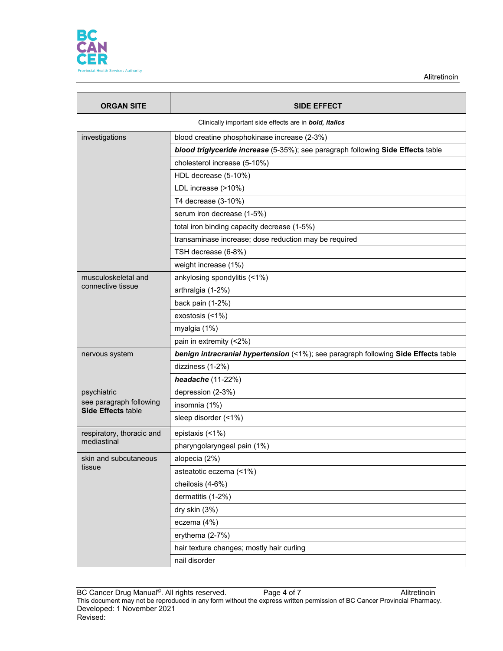

Alitretinoin

| <b>ORGAN SITE</b>                                    | <b>SIDE EFFECT</b>                                                                 |
|------------------------------------------------------|------------------------------------------------------------------------------------|
|                                                      | Clinically important side effects are in <b>bold, italics</b>                      |
| investigations                                       | blood creatine phosphokinase increase (2-3%)                                       |
|                                                      | blood triglyceride increase (5-35%); see paragraph following Side Effects table    |
|                                                      | cholesterol increase (5-10%)                                                       |
|                                                      | HDL decrease (5-10%)                                                               |
|                                                      | LDL increase (>10%)                                                                |
|                                                      | T4 decrease (3-10%)                                                                |
|                                                      | serum iron decrease (1-5%)                                                         |
|                                                      | total iron binding capacity decrease (1-5%)                                        |
|                                                      | transaminase increase; dose reduction may be required                              |
|                                                      | TSH decrease (6-8%)                                                                |
|                                                      | weight increase (1%)                                                               |
| musculoskeletal and                                  | ankylosing spondylitis (<1%)                                                       |
| connective tissue                                    | arthralgia (1-2%)                                                                  |
|                                                      | back pain (1-2%)                                                                   |
|                                                      | exostosis (<1%)                                                                    |
|                                                      | myalgia (1%)                                                                       |
|                                                      | pain in extremity (<2%)                                                            |
| nervous system                                       | benign intracranial hypertension (<1%); see paragraph following Side Effects table |
|                                                      | dizziness (1-2%)                                                                   |
|                                                      | headache (11-22%)                                                                  |
| psychiatric                                          | depression (2-3%)                                                                  |
| see paragraph following<br><b>Side Effects table</b> | insomnia (1%)                                                                      |
|                                                      | sleep disorder (<1%)                                                               |
| respiratory, thoracic and                            | epistaxis (<1%)                                                                    |
| mediastinal                                          | pharyngolaryngeal pain (1%)                                                        |
| skin and subcutaneous                                | alopecia (2%)                                                                      |
| tissue                                               | asteatotic eczema (<1%)                                                            |
|                                                      | cheilosis (4-6%)                                                                   |
|                                                      | dermatitis (1-2%)                                                                  |
|                                                      | dry skin (3%)                                                                      |
|                                                      | eczema (4%)                                                                        |
|                                                      | erythema (2-7%)                                                                    |
|                                                      | hair texture changes; mostly hair curling                                          |
|                                                      | nail disorder                                                                      |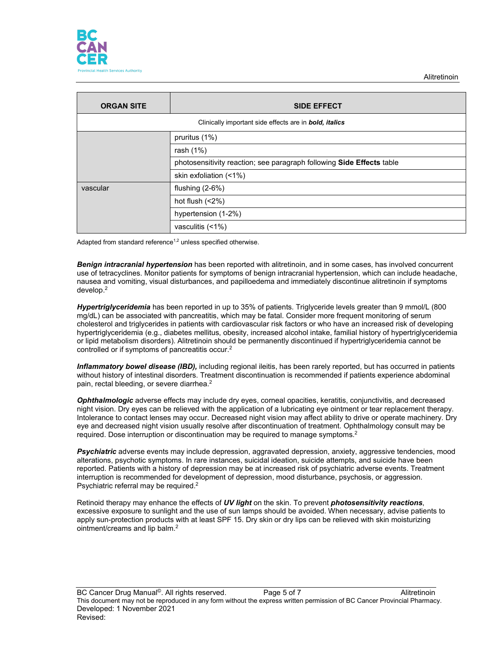

| <b>ORGAN SITE</b> | <b>SIDE EFFECT</b>                                                    |
|-------------------|-----------------------------------------------------------------------|
|                   | Clinically important side effects are in <b>bold</b> , <i>italics</i> |
|                   | pruritus (1%)                                                         |
|                   | rash (1%)                                                             |
|                   | photosensitivity reaction; see paragraph following Side Effects table |
|                   | skin exfoliation (<1%)                                                |
| vascular          | flushing $(2-6%)$                                                     |
|                   | hot flush $(2%)$                                                      |
|                   | hypertension (1-2%)                                                   |
|                   | vasculitis (<1%)                                                      |

Adapted from standard reference<sup>1,2</sup> unless specified otherwise.

*Benign intracranial hypertension* has been reported with alitretinoin, and in some cases, has involved concurrent use of tetracyclines. Monitor patients for symptoms of benign intracranial hypertension, which can include headache, nausea and vomiting, visual disturbances, and papilloedema and immediately discontinue alitretinoin if symptoms develop. 2

*Hypertriglyceridemia* has been reported in up to 35% of patients. Triglyceride levels greater than 9 mmol/L (800 mg/dL) can be associated with pancreatitis, which may be fatal. Consider more frequent monitoring of serum cholesterol and triglycerides in patients with cardiovascular risk factors or who have an increased risk of developing hypertriglyceridemia (e.g., diabetes mellitus, obesity, increased alcohol intake, familial history of hypertriglyceridemia or lipid metabolism disorders). Alitretinoin should be permanently discontinued if hypertriglyceridemia cannot be controlled or if symptoms of pancreatitis occur.2

*Inflammatory bowel disease (IBD),* including regional ileitis, has been rarely reported, but has occurred in patients without history of intestinal disorders. Treatment discontinuation is recommended if patients experience abdominal pain, rectal bleeding, or severe diarrhea.<sup>2</sup>

*Ophthalmologic* adverse effects may include dry eyes, corneal opacities, keratitis, conjunctivitis, and decreased night vision. Dry eyes can be relieved with the application of a lubricating eye ointment or tear replacement therapy. Intolerance to contact lenses may occur. Decreased night vision may affect ability to drive or operate machinery. Dry eye and decreased night vision usually resolve after discontinuation of treatment. Ophthalmology consult may be required. Dose interruption or discontinuation may be required to manage symptoms.<sup>2</sup>

*Psychiatric* adverse events may include depression, aggravated depression, anxiety, aggressive tendencies, mood alterations, psychotic symptoms. In rare instances, suicidal ideation, suicide attempts, and suicide have been reported. Patients with a history of depression may be at increased risk of psychiatric adverse events. Treatment interruption is recommended for development of depression, mood disturbance, psychosis, or aggression. Psychiatric referral may be required.<sup>2</sup>

Retinoid therapy may enhance the effects of *UV light* on the skin. To prevent *photosensitivity reactions*, excessive exposure to sunlight and the use of sun lamps should be avoided. When necessary, advise patients to apply sun-protection products with at least SPF 15. Dry skin or dry lips can be relieved with skin moisturizing ointment/creams and lip balm.2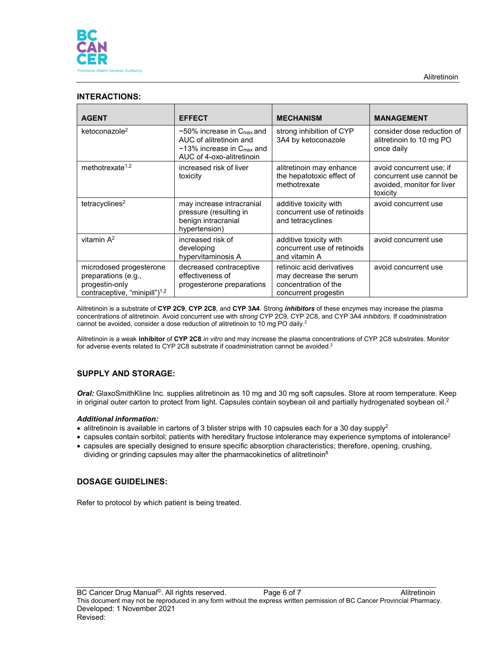

# **INTERACTIONS:**

| <b>AGENT</b>                                                                                            | <b>EFFECT</b>                                                                                                                                      | <b>MECHANISM</b>                                                                                    | <b>MANAGEMENT</b>                                                                              |
|---------------------------------------------------------------------------------------------------------|----------------------------------------------------------------------------------------------------------------------------------------------------|-----------------------------------------------------------------------------------------------------|------------------------------------------------------------------------------------------------|
| ketoconazole <sup>2</sup>                                                                               | $\sim$ 50% increase in C <sub>max</sub> and<br>AUC of alitretinoin and<br>$\sim$ 13% increase in $C_{\text{max}}$ and<br>AUC of 4-oxo-alitretinoin | strong inhibition of CYP<br>3A4 by ketoconazole                                                     | consider dose reduction of<br>alitretinoin to 10 mg PO<br>once daily                           |
| methotrexate <sup>1,2</sup>                                                                             | increased risk of liver<br>toxicity                                                                                                                | alitretinoin may enhance<br>the hepatotoxic effect of<br>methotrexate                               | avoid concurrent use; if<br>concurrent use cannot be<br>avoided, monitor for liver<br>toxicity |
| tetracyclines <sup>2</sup>                                                                              | may increase intracranial<br>pressure (resulting in<br>benign intracranial<br>hypertension)                                                        | additive toxicity with<br>concurrent use of retinoids<br>and tetracyclines                          | avoid concurrent use                                                                           |
| vitamin $A^2$                                                                                           | increased risk of<br>developing<br>hypervitaminosis A                                                                                              | additive toxicity with<br>concurrent use of retinoids<br>and vitamin A                              | avoid concurrent use                                                                           |
| microdosed progesterone<br>preparations (e.g.,<br>progestin-only<br>contraceptive, "minipill" $)^{1,2}$ | decreased contraceptive<br>effectiveness of<br>progesterone preparations                                                                           | retinoic acid derivatives<br>may decrease the serum<br>concentration of the<br>concurrent progestin | avoid concurrent use                                                                           |

Alitretinoin is a substrate of **CYP 2C9**, **CYP 2C8**, and **CYP 3A4**. Strong *inhibitors* of these enzymes may increase the plasma concentrations of alitretinoin. Avoid concurrent use with *strong* CYP 2C9, CYP 2C8, and CYP 3A4 *inhibitors*. If coadministration cannot be avoided, consider a dose reduction of alitretinoin to 10 mg PO daily.<sup>2</sup>

Alitretinoin is a weak **inhibitor** of **CYP 2C8** *in vitro* and may increase the plasma concentrations of CYP 2C8 substrates. Monitor for adverse events related to CYP 2C8 substrate if coadministration cannot be avoided.<sup>2</sup>

# **SUPPLY AND STORAGE:**

*Oral:* GlaxoSmithKline Inc. supplies alitretinoin as 10 mg and 30 mg soft capsules. Store at room temperature. Keep in original outer carton to protect from light. Capsules contain soybean oil and partially hydrogenated soybean oil. 2

#### *Additional information:*

- alitretinoin is available in cartons of 3 blister strips with 10 capsules each for a 30 day supply<sup>2</sup>
- capsules contain sorbitol; patients with hereditary fructose intolerance may experience symptoms of intolerance<sup>2</sup>
- capsules are specially designed to ensure specific absorption characteristics; therefore, opening, crushing, dividing or grinding capsules may alter the pharmacokinetics of alitretinoin<sup>8</sup>

# **DOSAGE GUIDELINES:**

Refer to protocol by which patient is being treated.